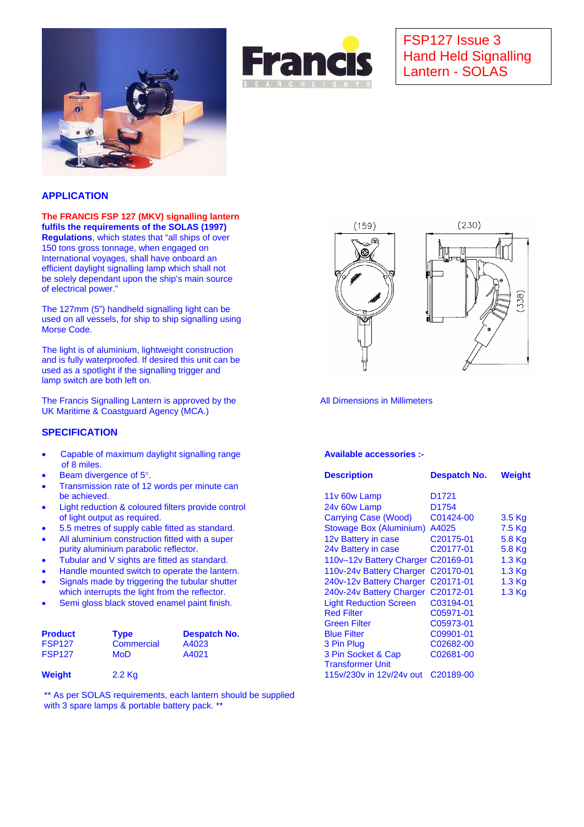



# FSP127 Issue 3 Hand Held Signalling Lantern - SOLAS

### **APPLICATION**

#### **The FRANCIS FSP 127 (MKV) signalling lantern fulfils the requirements of the SOLAS (1997)**

**Regulations**, which states that "all ships of over 150 tons gross tonnage, when engaged on International voyages, shall have onboard an efficient daylight signalling lamp which shall not be solely dependant upon the ship's main source of electrical power."

The 127mm (5") handheld signalling light can be used on all vessels, for ship to ship signalling using Morse Code.

The light is of aluminium, lightweight construction and is fully waterproofed. If desired this unit can be used as a spotlight if the signalling trigger and lamp switch are both left on.

The Francis Signalling Lantern is approved by the All Dimensions in Millimeters UK Maritime & Coastguard Agency (MCA.)

#### **SPECIFICATION**

- Capable of maximum daylight signalling range **Available accessories :** of 8 miles.
- 
- Transmission rate of 12 words per minute can be achieved.
- Light reduction & coloured filters provide control of light output as required.
- 5.5 metres of supply cable fitted as standard. • All aluminium construction fitted with a super
- purity aluminium parabolic reflector.
- Tubular and V sights are fitted as standard.
- Handle mounted switch to operate the lantern.
- Signals made by triggering the tubular shutter which interrupts the light from the reflector.
- Semi gloss black stoved enamel paint finish.

| <b>Product</b> | Tvpe       | <b>Despatch No.</b> | <b>Blue Filter</b>      | C09901-01 |
|----------------|------------|---------------------|-------------------------|-----------|
| <b>FSP127</b>  | Commercial | A4023               | 3 Pin Plug              | C02682-00 |
| <b>FSP127</b>  | MoD.       | A4021               | 3 Pin Socket & Cap      | C02681-00 |
|                |            |                     | <b>Transformer Unit</b> |           |

\*\* As per SOLAS requirements, each lantern should be supplied with 3 spare lamps & portable battery pack. \*\*



| $\bullet$                                                                                                     | Beam divergence of 5°. |                                                |              | <b>Description</b>                                            | Despatch No.           | Weight   |
|---------------------------------------------------------------------------------------------------------------|------------------------|------------------------------------------------|--------------|---------------------------------------------------------------|------------------------|----------|
| $\bullet$                                                                                                     |                        | Transmission rate of 12 words per minute can   |              |                                                               |                        |          |
| be achieved.                                                                                                  |                        |                                                |              | 11y 60w Lamp                                                  | D <sub>1721</sub>      |          |
| Light reduction & coloured filters provide control<br>$\bullet$<br>of light output as required.               |                        |                                                |              | 24v 60w Lamp                                                  | D <sub>1754</sub>      |          |
|                                                                                                               |                        |                                                |              | Carrying Case (Wood)                                          | C01424-00              | 3.5 Kg   |
| $\bullet$                                                                                                     |                        | 5.5 metres of supply cable fitted as standard. |              | Stowage Box (Aluminium) A4025                                 |                        | $7.5$ Kg |
| All aluminium construction fitted with a super<br>$\bullet$                                                   |                        |                                                |              | 12v Battery in case                                           | C <sub>20175</sub> -01 | 5.8 Kg   |
| purity aluminium parabolic reflector.                                                                         |                        |                                                |              | 24y Battery in case                                           | C <sub>20177</sub> -01 | 5.8 Kg   |
| ٠                                                                                                             |                        | Tubular and V sights are fitted as standard.   |              | 110v-12v Battery Charger C20169-01                            |                        | $1.3$ Kg |
| Handle mounted switch to operate the lantern.<br>$\bullet$                                                    |                        |                                                |              | 110v-24v Battery Charger C20170-01                            |                        | $1.3$ Kg |
| Signals made by triggering the tubular shutter<br>$\bullet$<br>which interrupts the light from the reflector. |                        |                                                |              | 240v-12v Battery Charger C20171-01                            |                        | $1.3$ Kg |
|                                                                                                               |                        |                                                |              | 240v-24v Battery Charger C20172-01                            |                        | $1.3$ Kg |
| Semi gloss black stoved enamel paint finish.<br>$\bullet$                                                     |                        |                                                |              | <b>Light Reduction Screen</b>                                 | C03194-01              |          |
|                                                                                                               |                        |                                                |              | <b>Red Filter</b>                                             | C05971-01              |          |
|                                                                                                               |                        |                                                |              | <b>Green Filter</b>                                           | C05973-01              |          |
|                                                                                                               | <b>Product</b>         | <b>Type</b>                                    | Despatch No. | <b>Blue Filter</b>                                            | C09901-01              |          |
|                                                                                                               | <b>FSP127</b>          | Commercial                                     | A4023        | 3 Pin Plug                                                    | C02682-00              |          |
|                                                                                                               | <b>FSP127</b>          | <b>MoD</b>                                     | A4021        | 3 Pin Socket & Cap                                            | C02681-00              |          |
|                                                                                                               | Weight                 | $2.2$ Kg                                       |              | <b>Transformer Unit</b><br>115v/230v in 12v/24v out C20189-00 |                        |          |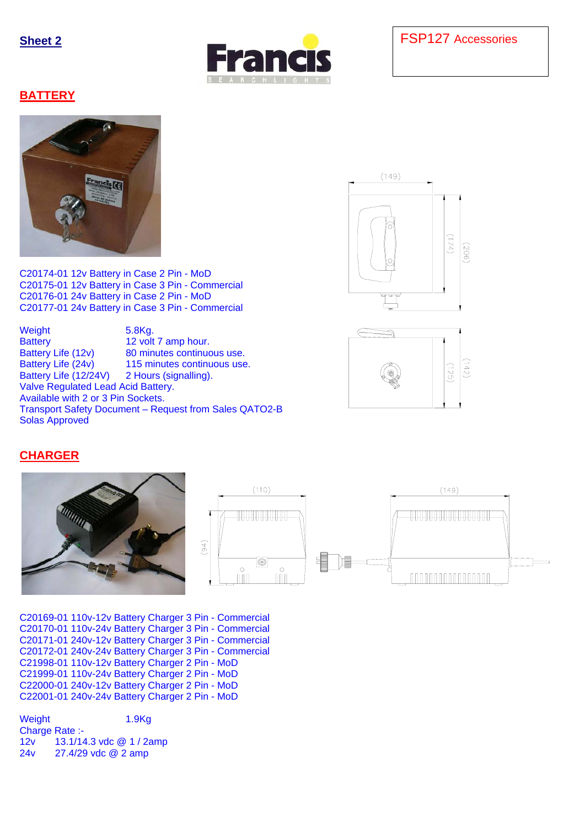

## **BATTERY**



C20174-01 12v Battery in Case 2 Pin - MoD C20175-01 12v Battery in Case 3 Pin - Commercial C20176-01 24v Battery in Case 2 Pin - MoD C20177-01 24v Battery in Case 3 Pin - Commercial

Weight 5.8Kg. Battery 12 volt 7 amp hour. Battery Life (12v) 80 minutes continuous use. Battery Life (24v) 115 minutes continuous use. Battery Life (12/24V) 2 Hours (signalling). Valve Regulated Lead Acid Battery. Available with 2 or 3 Pin Sockets. Transport Safety Document – Request from Sales QATO2-B Solas Approved





# **CHARGER**



C20169-01 110v-12v Battery Charger 3 Pin - Commercial C20170-01 110v-24v Battery Charger 3 Pin - Commercial C20171-01 240v-12v Battery Charger 3 Pin - Commercial C20172-01 240v-24v Battery Charger 3 Pin - Commercial C21998-01 110v-12v Battery Charger 2 Pin - MoD C21999-01 110v-24v Battery Charger 2 Pin - MoD C22000-01 240v-12v Battery Charger 2 Pin - MoD C22001-01 240v-24v Battery Charger 2 Pin - MoD

Weight 1.9Kg Charge Rate :- 12v 13.1/14.3 vdc @ 1 / 2amp 24v 27.4/29 vdc @ 2 amp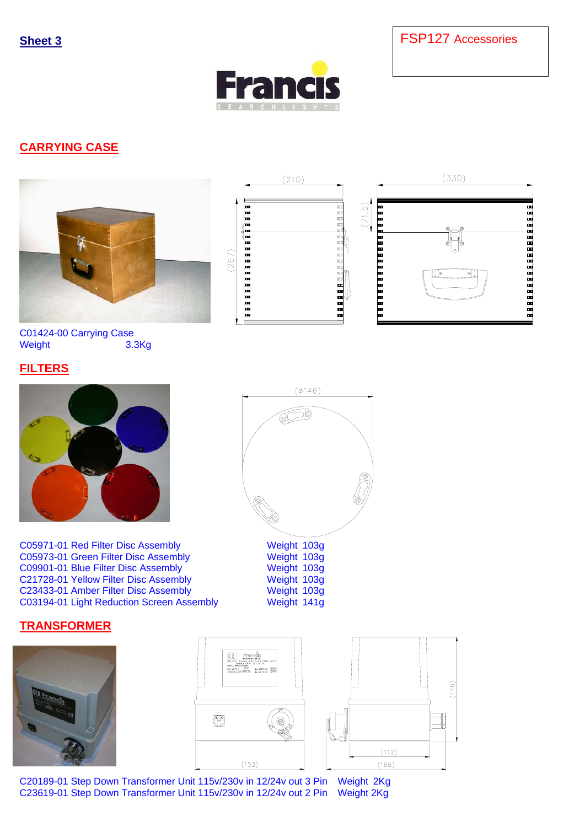**Sheet 3** FSP127 Accessories



# **CARRYING CASE**





C05971-01 Red Filter Disc Assembly Weight 103g C05973-01 Green Filter Disc Assembly Weight 103g C09901-01 Blue Filter Disc Assembly C21728-01 Yellow Filter Disc Assembly Weight 103g C23433-01 Amber Filter Disc Assembly Weight 103g<br>
C03194-01 Light Reduction Screen Assembly Weight 141g C03194-01 Light Reduction Screen Assembly

## **TRANSFORMER**







C20189-01 Step Down Transformer Unit 115v/230v in 12/24v out 3 Pin Weight 2Kg<br>C23619-01 Step Down Transformer Unit 115v/230v in 12/24v out 2 Pin Weight 2Kg C23619-01 Step Down Transformer Unit 115v/230v in 12/24v out 2 Pin